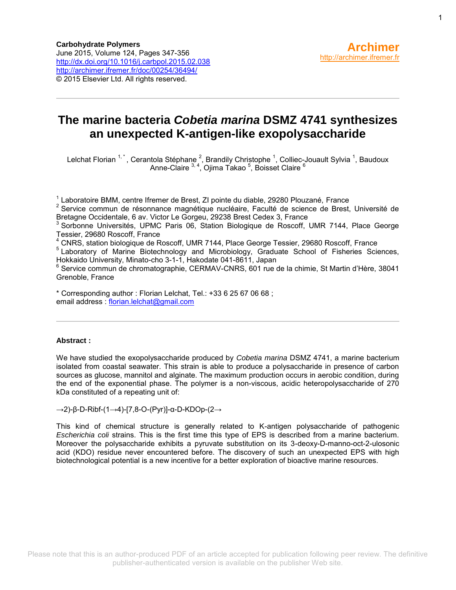## **The marine bacteria** *Cobetia marina* **DSMZ 4741 synthesizes an unexpected K-antigen-like exopolysaccharide**

Lelchat Florian <sup>1,\*</sup>, Cerantola Stéphane <sup>2</sup>, Brandily Christophe <sup>1</sup>, Colliec-Jouault Sylvia <sup>1</sup>, Baudoux Anne-Claire <sup>3, 4</sup>, Ojima Takao <sup>5</sup>, Boisset Claire <sup>6</sup>

 $1$  Laboratoire BMM, centre Ifremer de Brest, ZI pointe du diable, 29280 Plouzané, France <sup>2</sup> Service commun de résonnance magnétique nucléaire, Faculté de science de Brest, Université de

<sup>4</sup> CNRS, station biologique de Roscoff, UMR 7144, Place George Tessier, 29680 Roscoff, France

<sup>5</sup> Laboratory of Marine Biotechnology and Microbiology, Graduate School of Fisheries Sciences, Hokkaido University, Minato-cho 3-1-1, Hakodate 041-8611, Japan

6 Service commun de chromatographie, CERMAV-CNRS, 601 rue de la chimie, St Martin d'Hère, 38041 Grenoble, France

\* Corresponding author : Florian Lelchat, Tel.: +33 6 25 67 06 68 ; email address : [florian.lelchat@gmail.com](mailto:florian.lelchat@gmail.com)

## **Abstract :**

We have studied the exopolysaccharide produced by *Cobetia marina* DSMZ 4741, a marine bacterium isolated from coastal seawater. This strain is able to produce a polysaccharide in presence of carbon sources as glucose, mannitol and alginate. The maximum production occurs in aerobic condition, during the end of the exponential phase. The polymer is a non-viscous, acidic heteropolysaccharide of 270 kDa constituted of a repeating unit of:

→2)-β-D-Ribf-(1→4)-[7,8-O-(Pyr)]-α-D-KDOp-(2→

This kind of chemical structure is generally related to K-antigen polysaccharide of pathogenic *Escherichia coli* strains. This is the first time this type of EPS is described from a marine bacterium. Moreover the polysaccharide exhibits a pyruvate substitution on its 3-deoxy-D-manno-oct-2-ulosonic acid (KDO) residue never encountered before. The discovery of such an unexpected EPS with high biotechnological potential is a new incentive for a better exploration of bioactive marine resources.

Bretagne Occidentale, 6 av. Victor Le Gorgeu, 29238 Brest Cedex 3, France

<sup>&</sup>lt;sup>3</sup> Sorbonne Universités, UPMC Paris 06, Station Biologique de Roscoff, UMR 7144, Place George Tessier, 29680 Roscoff, France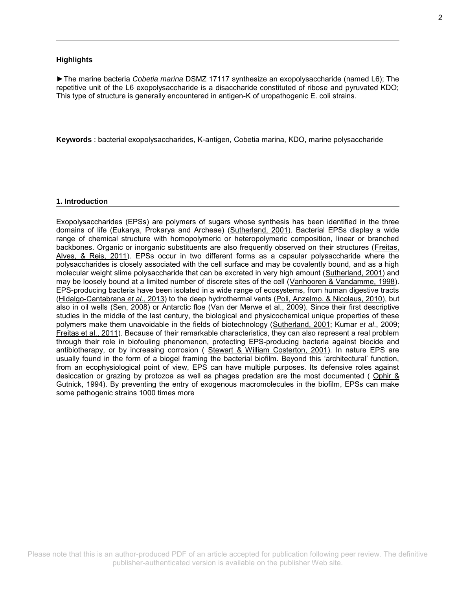## **Highlights**

►The marine bacteria *Cobetia marina* DSMZ 17117 synthesize an exopolysaccharide (named L6); The repetitive unit of the L6 exopolysaccharide is a disaccharide constituted of ribose and pyruvated KDO; This type of structure is generally encountered in antigen-K of uropathogenic E. coli strains.

**Keywords** : bacterial exopolysaccharides, K-antigen, Cobetia marina, KDO, marine polysaccharide

### **1. Introduction**

Exopolysaccharides (EPSs) are polymers of sugars whose synthesis has been identified in the three domains of life (Eukarya, Prokarya and Archeae) [\(Sutherland, 2001\)](http://www.sciencedirect.com/science/article/pii/S0144861715001526#bib0190). Bacterial EPSs display a wide range of chemical structure with homopolymeric or heteropolymeric composition, linear or branched backbones. Organic or inorganic substituents are also frequently observed on their structures [\(Freitas,](http://www.sciencedirect.com/science/article/pii/S0144861715001526#bib0050)  [Alves, & Reis, 2011\)](http://www.sciencedirect.com/science/article/pii/S0144861715001526#bib0050). EPSs occur in two different forms as a capsular polysaccharide where the polysaccharides is closely associated with the cell surface and may be covalently bound, and as a high molecular weight slime polysaccharide that can be excreted in very high amount [\(Sutherland, 2001\)](http://www.sciencedirect.com/science/article/pii/S0144861715001526#bib0190) and may be loosely bound at a limited number of discrete sites of the cell [\(Vanhooren & Vandamme, 1998\)](http://www.sciencedirect.com/science/article/pii/S0144861715001526#bib0215). EPS-producing bacteria have been isolated in a wide range of ecosystems, from human digestive tracts [\(Hidalgo-Cantabrana](http://www.sciencedirect.com/science/article/pii/S0144861715001526#bib0060) *et al*., 2013) to the deep hydrothermal vents [\(Poli, Anzelmo, & Nicolaus, 2010\)](http://www.sciencedirect.com/science/article/pii/S0144861715001526#bib0150), but also in oil wells [\(Sen, 2008\)](http://www.sciencedirect.com/science/article/pii/S0144861715001526#bib0160) or Antarctic floe [\(Van der Merwe et al., 2009\)](http://www.sciencedirect.com/science/article/pii/S0144861715001526#bib0205). Since their first descriptive studies in the middle of the last century, the biological and physicochemical unique properties of these polymers make them unavoidable in the fields of biotechnology [\(Sutherland, 2001;](http://www.sciencedirect.com/science/article/pii/S0144861715001526#bib0190) Kumar *et al*., 2009; [Freitas et al., 2011\)](http://www.sciencedirect.com/science/article/pii/S0144861715001526#bib0050). Because of their remarkable characteristics, they can also represent a real problem through their role in biofouling phenomenon, protecting EPS-producing bacteria against biocide and antibiotherapy, or by increasing corrosion ( [Stewart & William Costerton, 2001\)](http://www.sciencedirect.com/science/article/pii/S0144861715001526#bib0175). In nature EPS are usually found in the form of a biogel framing the bacterial biofilm. Beyond this 'architectural' function, from an ecophysiological point of view, EPS can have multiple purposes. Its defensive roles against desiccation or grazing by protozoa as well as phages predation are the most documented ( [Ophir &](http://www.sciencedirect.com/science/article/pii/S0144861715001526#bib0140)  [Gutnick, 1994\)](http://www.sciencedirect.com/science/article/pii/S0144861715001526#bib0140). By preventing the entry of exogenous macromolecules in the biofilm, EPSs can make some pathogenic strains 1000 times more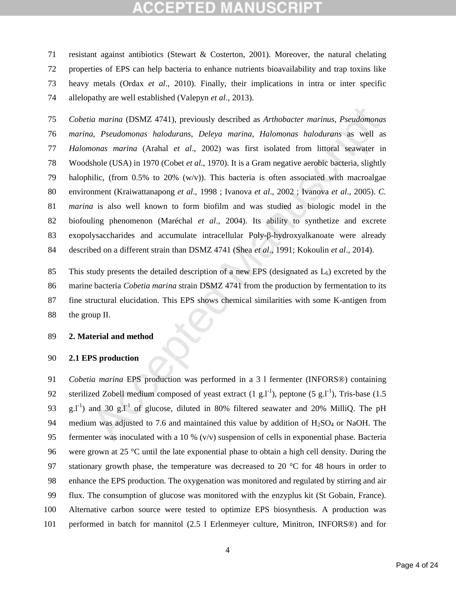resistant against antibiotics (Stewart & Costerton, 2001). Moreover, the natural chelating properties of EPS can help bacteria to enhance nutrients bioavailability and trap toxins like heavy metals (Ordax *et al*., 2010). Finally, their implications in intra or inter specific allelopathy are well established (Valepyn *et al*., 2013).

ia marina (DSMZ 4741), previously described as *Arthobacter marinus, Pseudomonas*<br>
a, *Pseudomonas halodurans*, *Deleya marina, Halomonas halodurans* as well as<br>
nonas marina (Arahal et al., 2002) was first isolated from *Cobetia marina* (DSMZ 4741), previously described as *Arthobacter marinus*, *Pseudomonas marina*, *Pseudomonas halodurans*, *Deleya marina*, *Halomonas halodurans* as well as *Halomonas marina* (Arahal *et al*., 2002) was first isolated from littoral seawater in Woodshole (USA) in 1970 (Cobet *et al*., 1970). It is a Gram negative aerobic bacteria, slightly halophilic, (from 0.5% to 20% (w/v)). This bacteria is often associated with macroalgae environment (Kraiwattanapong *et al*., 1998 ; Ivanova *et al*., 2002 ; Ivanova *et al*., 2005). *C. marina* is also well known to form biofilm and was studied as biologic model in the biofouling phenomenon (Maréchal *et al*., 2004). Its ability to synthetize and excrete exopolysaccharides and accumulate intracellular Poly-β-hydroxyalkanoate were already described on a different strain than DSMZ 4741 (Shea *et al*., 1991; Kokoulin *et al*., 2014).

85 This study presents the detailed description of a new EPS (designated as  $L_6$ ) excreted by the marine bacteria *Cobetia marina* strain DSMZ 4741 from the production by fermentation to its fine structural elucidation. This EPS shows chemical similarities with some K-antigen from the group II.

## **2. Material and method**

## **2.1 EPS production**

 *Cobetia marina* EPS production was performed in a 3 l fermenter (INFORS®) containing 92 sterilized Zobell medium composed of yeast extract  $(1 g.1<sup>-1</sup>)$ , peptone  $(5 g.1<sup>-1</sup>)$ , Tris-base  $(1.5 g.1<sup>-1</sup>)$ 93 g.l<sup>-1</sup>) and 30 g.l<sup>-1</sup> of glucose, diluted in 80% filtered seawater and 20% MilliQ. The pH 94 medium was adjusted to 7.6 and maintained this value by addition of  $H<sub>2</sub>SO<sub>4</sub>$  or NaOH. The fermenter was inoculated with a 10 % (v/v) suspension of cells in exponential phase. Bacteria were grown at 25 °C until the late exponential phase to obtain a high cell density. During the 97 stationary growth phase, the temperature was decreased to 20  $\degree$ C for 48 hours in order to enhance the EPS production. The oxygenation was monitored and regulated by stirring and air flux. The consumption of glucose was monitored with the enzyplus kit (St Gobain, France). Alternative carbon source were tested to optimize EPS biosynthesis. A production was performed in batch for mannitol (2.5 l Erlenmeyer culture, Minitron, INFORS®) and for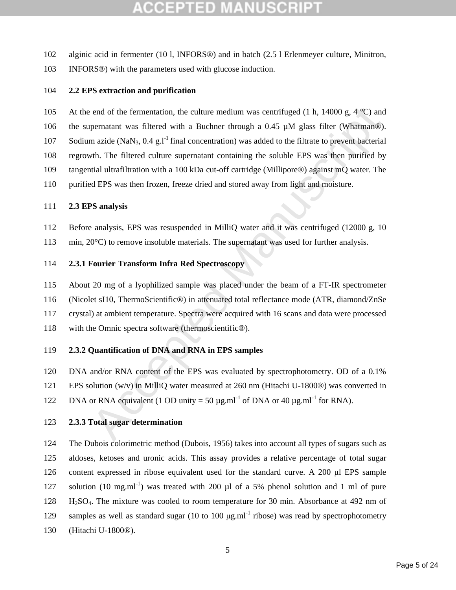- alginic acid in fermenter (10 l, INFORS®) and in batch (2.5 l Erlenmeyer culture, Minitron,
- INFORS®) with the parameters used with glucose induction.

## **2.2 EPS extraction and purification**

end of the fermentation, the culture medium was centrifuged (1 h, 14000 g, 4 °C) and<br>permatant was filtered with a Buchner through a 0.45 µM glass filter (Whatman®).<br>n azide (NaN<sub>3</sub>, 0.4 g.<sup>1-1</sup> final concentration) was a 105 At the end of the fermentation, the culture medium was centrifuged (1 h, 14000 g, 4  $^{\circ}$ C) and 106 the supernatant was filtered with a Buchner through a 0.45  $\mu$ M glass filter (Whatman®). 107 Sodium azide (NaN<sub>3</sub>, 0.4 g. I<sup>-1</sup> final concentration) was added to the filtrate to prevent bacterial regrowth. The filtered culture supernatant containing the soluble EPS was then purified by tangential ultrafiltration with a 100 kDa cut-off cartridge (Millipore®) against mQ water. The

purified EPS was then frozen, freeze dried and stored away from light and moisture.

## **2.3 EPS analysis**

- Before analysis, EPS was resuspended in MilliQ water and it was centrifuged (12000 g, 10
- 113 min, 20°C) to remove insoluble materials. The supernatant was used for further analysis.

## **2.3.1 Fourier Transform Infra Red Spectroscopy**

About 20 mg of a lyophilized sample was placed under the beam of a FT-IR spectrometer

(Nicolet sI10, ThermoScientific®) in attenuated total reflectance mode (ATR, diamond/ZnSe

crystal) at ambient temperature. Spectra were acquired with 16 scans and data were processed

with the Omnic spectra software (thermoscientific®).

## **2.3.2 Quantification of DNA and RNA in EPS samples**

DNA and/or RNA content of the EPS was evaluated by spectrophotometry. OD of a 0.1%

EPS solution (w/v) in MilliQ water measured at 260 nm (Hitachi U-1800®) was converted in

122 DNA or RNA equivalent (1 OD unity = 50  $\mu$ g.ml<sup>-1</sup> of DNA or 40  $\mu$ g.ml<sup>-1</sup> for RNA).

## **2.3.3 Total sugar determination**

 The Dubois colorimetric method (Dubois, 1956) takes into account all types of sugars such as aldoses, ketoses and uronic acids. This assay provides a relative percentage of total sugar content expressed in ribose equivalent used for the standard curve. A 200 μl EPS sample 127 solution (10 mg.ml<sup>-1</sup>) was treated with 200 µl of a 5% phenol solution and 1 ml of pure H2SO4. The mixture was cooled to room temperature for 30 min. Absorbance at 492 nm of 129 samples as well as standard sugar (10 to 100  $\mu$ g.ml<sup>-1</sup> ribose) was read by spectrophotometry (Hitachi U-1800®).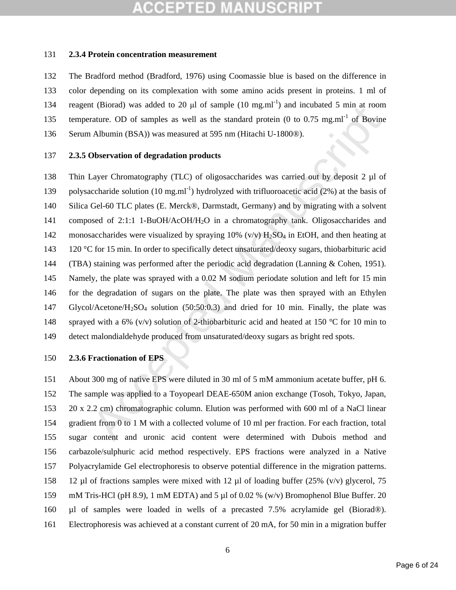## **2.3.4 Protein concentration measurement**

 The Bradford method (Bradford, 1976) using Coomassie blue is based on the difference in color depending on its complexation with some amino acids present in proteins. 1 ml of 134 reagent (Biorad) was added to 20  $\mu$ l of sample (10 mg.ml<sup>-1</sup>) and incubated 5 min at room 135 temperature. OD of samples as well as the standard protein (0 to 0.75 mg.ml<sup>-1</sup> of Bovine Serum Albumin (BSA)) was measured at 595 nm (Hitachi U-1800®).

## **2.3.5 Observation of degradation products**

It (Bional) was adaced to 20 µ1 of sample (10 mg.mi) and included a 5 min at room<br>trature. OD of samples as well as the standard protein (0 to 0.75 mg.mi<sup>-1</sup> of Bovine<br>Ablumin (BSA)) was measured at 595 nm (Hitachi U-1800 Thin Layer Chromatography (TLC) of oligosaccharides was carried out by deposit 2 µl of 139 polysaccharide solution (10 mg.ml<sup>-1</sup>) hydrolyzed with trifluoroacetic acid (2%) at the basis of Silica Gel-60 TLC plates (E. Merck®, Darmstadt, Germany) and by migrating with a solvent composed of 2:1:1 1-BuOH/AcOH/H2O in a chromatography tank. Oligosaccharides and 142 monosaccharides were visualized by spraying  $10\%$  (v/v)  $H_2SO_4$  in EtOH, and then heating at 143 120 °C for 15 min. In order to specifically detect unsaturated/deoxy sugars, thiobarbituric acid (TBA) staining was performed after the periodic acid degradation (Lanning & Cohen, 1951). Namely, the plate was sprayed with a 0.02 M sodium periodate solution and left for 15 min for the degradation of sugars on the plate. The plate was then sprayed with an Ethylen Glycol/Acetone/H2SO4 solution (50:50:0.3) and dried for 10 min. Finally, the plate was 148 sprayed with a 6% (v/v) solution of 2-thiobarbituric acid and heated at 150 °C for 10 min to detect malondialdehyde produced from unsaturated/deoxy sugars as bright red spots.

## **2.3.6 Fractionation of EPS**

 About 300 mg of native EPS were diluted in 30 ml of 5 mM ammonium acetate buffer, pH 6. The sample was applied to a Toyopearl DEAE-650M anion exchange (Tosoh, Tokyo, Japan, 20 x 2.2 cm) chromatographic column. Elution was performed with 600 ml of a NaCl linear gradient from 0 to 1 M with a collected volume of 10 ml per fraction. For each fraction, total sugar content and uronic acid content were determined with Dubois method and carbazole/sulphuric acid method respectively. EPS fractions were analyzed in a Native Polyacrylamide Gel electrophoresis to observe potential difference in the migration patterns. 12 µl of fractions samples were mixed with 12 µl of loading buffer (25% (v/v) glycerol, 75 mM Tris-HCl (pH 8.9), 1 mM EDTA) and 5 µl of 0.02 % (w/v) Bromophenol Blue Buffer. 20 µl of samples were loaded in wells of a precasted 7.5% acrylamide gel (Biorad®). Electrophoresis was achieved at a constant current of 20 mA, for 50 min in a migration buffer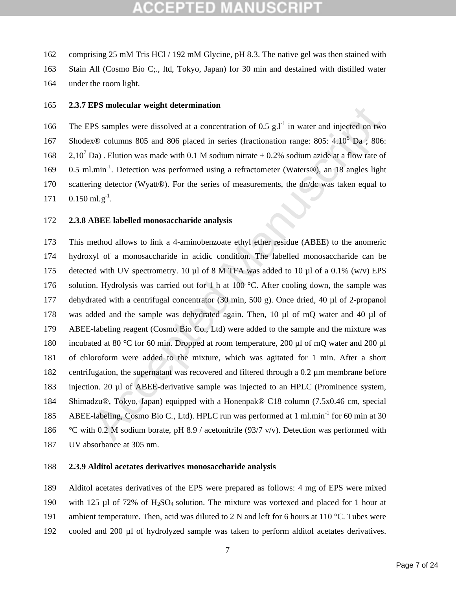162 comprising 25 mM Tris HCl / 192 mM Glycine, pH 8.3. The native gel was then stained with 163 Stain All (Cosmo Bio C;., ltd, Tokyo, Japan) for 30 min and destained with distilled water 164 under the room light.

## 165 **2.3.7 EPS molecular weight determination**

166 The EPS samples were dissolved at a concentration of 0.5 g. $l^{-1}$  in water and injected on two 167 Shodex $\otimes$  columns 805 and 806 placed in series (fractionation range: 805: 4.10<sup>5</sup> Da ; 806: 168  $2.10^7$  Da). Elution was made with 0.1 M sodium nitrate + 0.2% sodium azide at a flow rate of 169 0.5 ml.min<sup>-1</sup>. Detection was performed using a refractometer (Waters®), an 18 angles light 170 scattering detector (Wyatt®). For the series of measurements, the dn/dc was taken equal to 171  $0.150$  ml.g<sup>-1</sup>.

## 172 **2.3.8 ABEE labelled monosaccharide analysis**

Ers molecular weight determination<br>
FS samples were dissolved at a concentration of  $0.5 g_1^{-1}$  in water and injected on two<br>  $\infty$ ® columns 805 and 806 placed in series (fractionation range: 805: 4:10<sup>5</sup> Da ; 806:<br>
Da). This method allows to link a 4-aminobenzoate ethyl ether residue (ABEE) to the anomeric hydroxyl of a monosaccharide in acidic condition. The labelled monosaccharide can be detected with UV spectrometry. 10 µl of 8 M TFA was added to 10 µl of a 0.1% (w/v) EPS 176 solution. Hydrolysis was carried out for 1 h at 100 °C. After cooling down, the sample was dehydrated with a centrifugal concentrator (30 min, 500 g). Once dried, 40 µl of 2-propanol was added and the sample was dehydrated again. Then, 10 µl of mQ water and 40 µl of ABEE-labeling reagent (Cosmo Bio Co., Ltd) were added to the sample and the mixture was 180 incubated at 80 °C for 60 min. Dropped at room temperature, 200 µl of mQ water and 200 µl of chloroform were added to the mixture, which was agitated for 1 min. After a short centrifugation, the supernatant was recovered and filtered through a 0.2 µm membrane before injection. 20 µl of ABEE-derivative sample was injected to an HPLC (Prominence system, Shimadzu®, Tokyo, Japan) equipped with a Honenpak® C18 column (7.5x0.46 cm, special 185 ABEE-labeling, Cosmo Bio C., Ltd). HPLC run was performed at 1 ml.min<sup>-1</sup> for 60 min at 30 186 °C with 0.2 M sodium borate, pH 8.9 / acetonitrile (93/7 v/v). Detection was performed with UV absorbance at 305 nm.

## 188 **2.3.9 Alditol acetates derivatives monosaccharide analysis**

189 Alditol acetates derivatives of the EPS were prepared as follows: 4 mg of EPS were mixed 190 with 125 µl of 72% of H<sub>2</sub>SO<sub>4</sub> solution. The mixture was vortexed and placed for 1 hour at 191 ambient temperature. Then, acid was diluted to 2 N and left for 6 hours at 110 °C. Tubes were

192 cooled and 200 µl of hydrolyzed sample was taken to perform alditol acetates derivatives.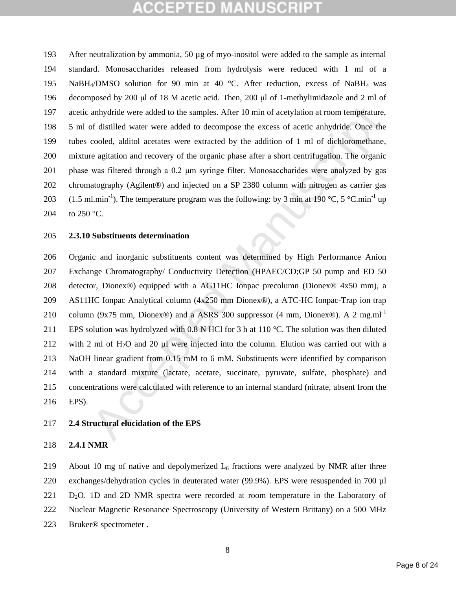After neutralization by ammonia, 50 µg of myo-inositol were added to the sample as internal standard. Monosaccharides released from hydrolysis were reduced with 1 ml of a NaBH4/DMSO solution for 90 min at 40 °C. After reduction, excess of NaBH4 was decomposed by 200 μl of 18 M acetic acid. Then, 200 μl of 1-methylimidazole and 2 ml of acetic anhydride were added to the samples. After 10 min of acetylation at room temperature, 5 ml of distilled water were added to decompose the excess of acetic anhydride. Once the tubes cooled, alditol acetates were extracted by the addition of 1 ml of dichloromethane, mixture agitation and recovery of the organic phase after a short centrifugation. The organic phase was filtered through a 0.2 μm syringe filter. Monosaccharides were analyzed by gas chromatography (Agilent®) and injected on a SP 2380 column with nitrogen as carrier gas 203 (1.5 ml.min<sup>-1</sup>). The temperature program was the following: by 3 min at 190 °C, 5 °C.min<sup>-1</sup> up 204 to 250  $^{\circ}$ C.

### **2.3.10 Substituents determination**

anhydride were added to the samples. After 10 min of acetylation at room temperature, of distilled water were added to decompose the excess of acetic amhydride. Once the cooled, alditol acctates were extracted by the addi Organic and inorganic substituents content was determined by High Performance Anion Exchange Chromatography/ Conductivity Detection (HPAEC/CD;GP 50 pump and ED 50 detector, Dionex®) equipped with a AG11HC Ionpac precolumn (Dionex® 4x50 mm), a AS11HC Ionpac Analytical column (4x250 mm Dionex®), a ATC-HC Ionpac-Trap ion trap 210 column (9x75 mm, Dionex®) and a ASRS 300 suppressor (4 mm, Dionex®). A 2 mg.ml<sup>-1</sup> 211 EPS solution was hydrolyzed with 0.8 N HCl for 3 h at 110 °C. The solution was then diluted with 2 ml of H2O and 20 µl were injected into the column. Elution was carried out with a NaOH linear gradient from 0.15 mM to 6 mM. Substituents were identified by comparison with a standard mixture (lactate, acetate, succinate, pyruvate, sulfate, phosphate) and concentrations were calculated with reference to an internal standard (nitrate, absent from the EPS).

## **2.4 Structural elucidation of the EPS**

## **2.4.1 NMR**

219 About 10 mg of native and depolymerized  $L_6$  fractions were analyzed by NMR after three exchanges/dehydration cycles in deuterated water (99.9%). EPS were resuspended in 700 µl 221 D<sub>2</sub>O. 1D and 2D NMR spectra were recorded at room temperature in the Laboratory of Nuclear Magnetic Resonance Spectroscopy (University of Western Brittany) on a 500 MHz Bruker® spectrometer .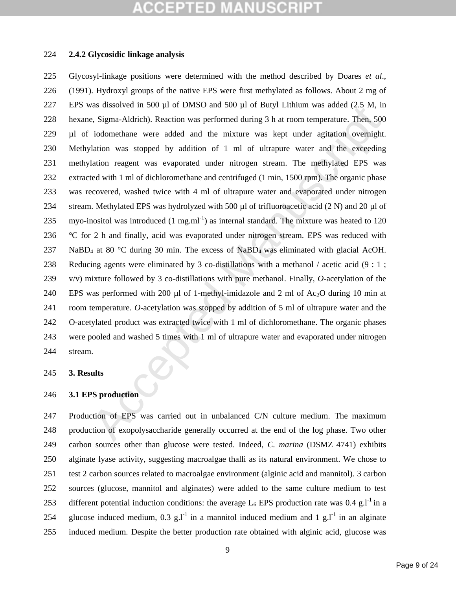## **2.4.2 Glycosidic linkage analysis**

are discussion in 500 ft of DMSD and 500 ft of Buyit Limium was added (2.5 M; in Sigma-Aldrich). Receivior was performed during 3 h at room temperature. Then, 500 for ideomethane were added and the mixture was kept under Glycosyl-linkage positions were determined with the method described by Doares *et al*., (1991). Hydroxyl groups of the native EPS were first methylated as follows. About 2 mg of EPS was dissolved in 500 µl of DMSO and 500 µl of Butyl Lithium was added (2.5 M, in hexane, Sigma-Aldrich). Reaction was performed during 3 h at room temperature. Then, 500 µl of iodomethane were added and the mixture was kept under agitation overnight. Methylation was stopped by addition of 1 ml of ultrapure water and the exceeding methylation reagent was evaporated under nitrogen stream. The methylated EPS was extracted with 1 ml of dichloromethane and centrifuged (1 min, 1500 rpm). The organic phase was recovered, washed twice with 4 ml of ultrapure water and evaporated under nitrogen 234 stream. Methylated EPS was hydrolyzed with 500  $\mu$ l of trifluoroacetic acid (2 N) and 20  $\mu$ l of 235 myo-inositol was introduced  $(1 \text{ mg.m}^{-1})$  as internal standard. The mixture was heated to 120  $\degree$ C for 2 h and finally, acid was evaporated under nitrogen stream. EPS was reduced with 237 NaBD<sub>4</sub> at 80 °C during 30 min. The excess of NaBD<sub>4</sub> was eliminated with glacial AcOH. Reducing agents were eliminated by 3 co-distillations with a methanol / acetic acid (9 : 1 ; v/v) mixture followed by 3 co-distillations with pure methanol. Finally, *O*-acetylation of the 240 EPS was performed with 200  $\mu$ l of 1-methyl-imidazole and 2 ml of Ac<sub>2</sub>O during 10 min at room temperature. *O*-acetylation was stopped by addition of 5 ml of ultrapure water and the O-acetylated product was extracted twice with 1 ml of dichloromethane. The organic phases were pooled and washed 5 times with 1 ml of ultrapure water and evaporated under nitrogen stream.

## **3. Results**

## **3.1 EPS production**

 Production of EPS was carried out in unbalanced C/N culture medium. The maximum production of exopolysaccharide generally occurred at the end of the log phase. Two other carbon sources other than glucose were tested. Indeed, *C. marina* (DSMZ 4741) exhibits alginate lyase activity, suggesting macroalgae thalli as its natural environment. We chose to test 2 carbon sources related to macroalgae environment (alginic acid and mannitol). 3 carbon sources (glucose, mannitol and alginates) were added to the same culture medium to test 253 different potential induction conditions: the average  $L_6$  EPS production rate was 0.4 g.l<sup>-1</sup> in a 254 glucose induced medium, 0.3 g.l<sup>-1</sup> in a mannitol induced medium and 1 g.l<sup>-1</sup> in an alginate induced medium. Despite the better production rate obtained with alginic acid, glucose was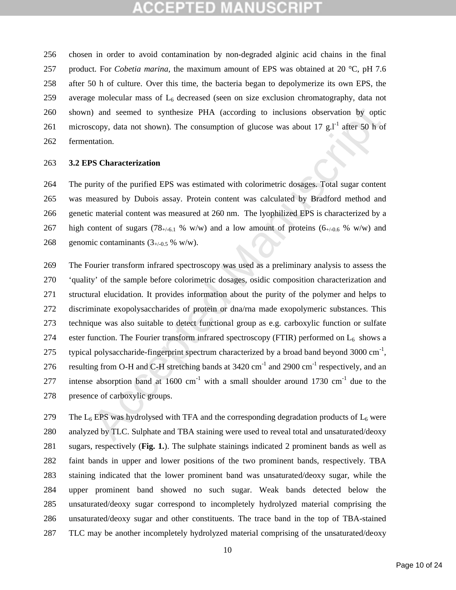chosen in order to avoid contamination by non-degraded alginic acid chains in the final product. For *Cobetia marina*, the maximum amount of EPS was obtained at 20 °C, pH 7.6 after 50 h of culture. Over this time, the bacteria began to depolymerize its own EPS, the 259 average molecular mass of  $L<sub>6</sub>$  decreased (seen on size exclusion chromatography, data not shown) and seemed to synthesize PHA (according to inclusions observation by optic 261 microscopy, data not shown). The consumption of glucose was about 17 g.<sup>11</sup> after 50 h of fermentation.

### **3.2 EPS Characterization**

 The purity of the purified EPS was estimated with colorimetric dosages. Total sugar content was measured by Dubois assay. Protein content was calculated by Bradford method and genetic material content was measured at 260 nm. The lyophilized EPS is characterized by a 267 high content of sugars (78 $+/-6.1$  % w/w) and a low amount of proteins (6 $+/-0.6$  % w/w) and 268 genomic contaminants  $(3_{+/0.5} %$  w/w).

o) and seemed to synthesize PHA (according to inclusions observation by optic<br>scopy, data not shown). The consumption of glucose was about  $17 \text{ g.}1^4$  after 50 h of<br>atation.<br>**SS Characterization**<br>urity of the purified E The Fourier transform infrared spectroscopy was used as a preliminary analysis to assess the 'quality' of the sample before colorimetric dosages, osidic composition characterization and structural elucidation. It provides information about the purity of the polymer and helps to discriminate exopolysaccharides of protein or dna/rna made exopolymeric substances. This technique was also suitable to detect functional group as e.g. carboxylic function or sulfate 274 ester function. The Fourier transform infrared spectroscopy (FTIR) performed on  $L_6$  shows a 275 typical polysaccharide-fingerprint spectrum characterized by a broad band beyond 3000 cm<sup>-1</sup>, 276 resulting from O-H and C-H stretching bands at  $3420 \text{ cm}^{-1}$  and  $2900 \text{ cm}^{-1}$  respectively, and an 277 intense absorption band at  $1600 \text{ cm}^{-1}$  with a small shoulder around 1730 cm<sup>-1</sup> due to the presence of carboxylic groups.

279 The  $L_6$  EPS was hydrolysed with TFA and the corresponding degradation products of  $L_6$  were analyzed by TLC. Sulphate and TBA staining were used to reveal total and unsaturated/deoxy sugars, respectively (**Fig. 1.**). The sulphate stainings indicated 2 prominent bands as well as faint bands in upper and lower positions of the two prominent bands, respectively. TBA staining indicated that the lower prominent band was unsaturated/deoxy sugar, while the upper prominent band showed no such sugar. Weak bands detected below the unsaturated/deoxy sugar correspond to incompletely hydrolyzed material comprising the unsaturated/deoxy sugar and other constituents. The trace band in the top of TBA-stained TLC may be another incompletely hydrolyzed material comprising of the unsaturated/deoxy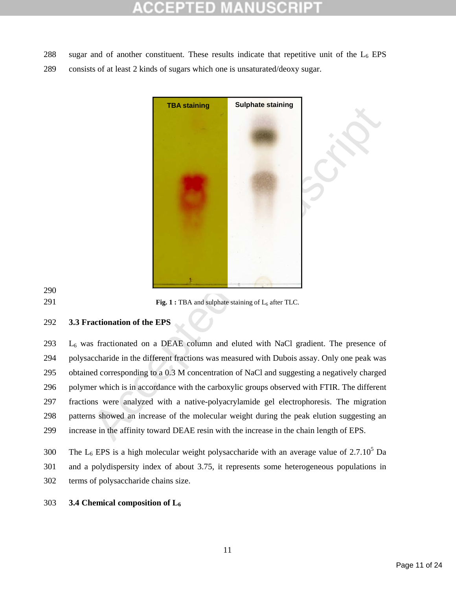- 288 sugar and of another constituent. These results indicate that repetitive unit of the  $L_6$  EPS
- consists of at least 2 kinds of sugars which one is unsaturated/deoxy sugar.



291 **Fig. 1 :** TBA and sulphate staining of L<sub>6</sub> after TLC.

## **3.3 Fractionation of the EPS**

 L<sub>6</sub> was fractionated on a DEAE column and eluted with NaCl gradient. The presence of polysaccharide in the different fractions was measured with Dubois assay. Only one peak was obtained corresponding to a 0.3 M concentration of NaCl and suggesting a negatively charged polymer which is in accordance with the carboxylic groups observed with FTIR. The different fractions were analyzed with a native-polyacrylamide gel electrophoresis. The migration patterns showed an increase of the molecular weight during the peak elution suggesting an increase in the affinity toward DEAE resin with the increase in the chain length of EPS.

## **3.4 Chemical composition of L6**

<sup>300</sup> The  $L_6$  EPS is a high molecular weight polysaccharide with an average value of 2.7.10<sup>5</sup> Da and a polydispersity index of about 3.75, it represents some heterogeneous populations in terms of polysaccharide chains size.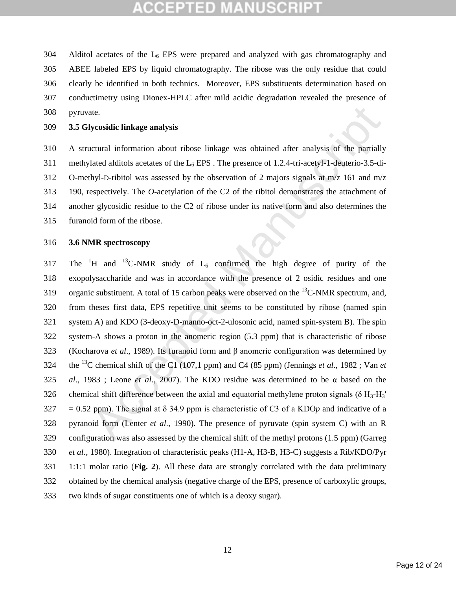304 Alditol acetates of the  $L_6$  EPS were prepared and analyzed with gas chromatography and ABEE labeled EPS by liquid chromatography. The ribose was the only residue that could clearly be identified in both technics. Moreover, EPS substituents determination based on conductimetry using Dionex-HPLC after mild acidic degradation revealed the presence of pyruvate.

## **3.5 Glycosidic linkage analysis**

 A structural information about ribose linkage was obtained after analysis of the partially 311 methylated alditols acetates of the  $L_6$  EPS. The presence of 1.2.4-tri-acetyl-1-deuterio-3.5-di- O-methyl-D-ribitol was assessed by the observation of 2 majors signals at m/z 161 and m/z 190, respectively. The *O*-acetylation of the C2 of the ribitol demonstrates the attachment of another glycosidic residue to the C2 of ribose under its native form and also determines the furanoid form of the ribose.

## **3.6 NMR spectroscopy**

ate.<br>
Moreosidic linkage analysis<br>
tetural information about ribose linkage was obtained after analysis of the partially<br>
lated alditols acetates of the L<sub>6</sub> EPS. The presence of 1.2.4-tri-acetyl-1-deuterio-3.5-di-<br>
hyl-D 317 The  ${}^{1}H$  and  ${}^{13}C$ -NMR study of  $L_6$  confirmed the high degree of purity of the exopolysaccharide and was in accordance with the presence of 2 osidic residues and one 319 organic substituent. A total of 15 carbon peaks were observed on the  $^{13}$ C-NMR spectrum, and, from theses first data, EPS repetitive unit seems to be constituted by ribose (named spin system A) and KDO (3-deoxy-D-manno-oct-2-ulosonic acid, named spin-system B). The spin system-A shows a proton in the anomeric region (5.3 ppm) that is characteristic of ribose (Kocharova *et al*., 1989). Its furanoid form and β anomeric configuration was determined by the <sup>13</sup>C chemical shift of the C1 (107,1 ppm) and C4 (85 ppm) (Jennings *et al.*, 1982; Van *et al*., 1983 ; Leone *et al*., 2007). The KDO residue was determined to be α based on the 326 chemical shift difference between the axial and equatorial methylene proton signals ( $\delta$  H<sub>3</sub>-H<sub>3</sub>' = 0.52 ppm). The signal at δ 34.9 ppm is characteristic of C3 of a KDO*p* and indicative of a pyranoid form (Lenter *et al*., 1990). The presence of pyruvate (spin system C) with an R configuration was also assessed by the chemical shift of the methyl protons (1.5 ppm) (Garreg *et al*., 1980). Integration of characteristic peaks (H1-A, H3-B, H3-C) suggests a Rib/KDO/Pyr 1:1:1 molar ratio (**Fig. 2**). All these data are strongly correlated with the data preliminary obtained by the chemical analysis (negative charge of the EPS, presence of carboxylic groups, two kinds of sugar constituents one of which is a deoxy sugar).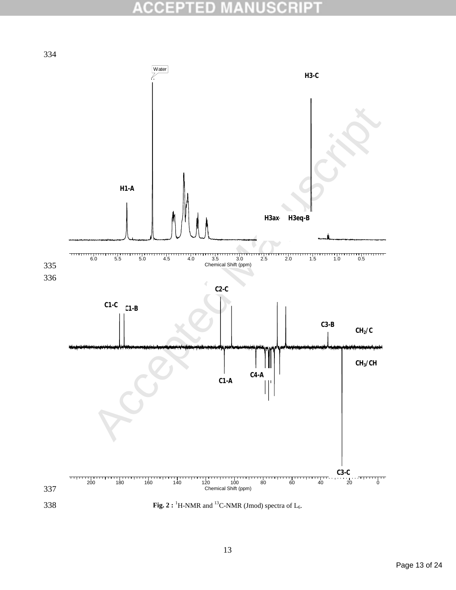### B 0(0 O E  $\pm$

334

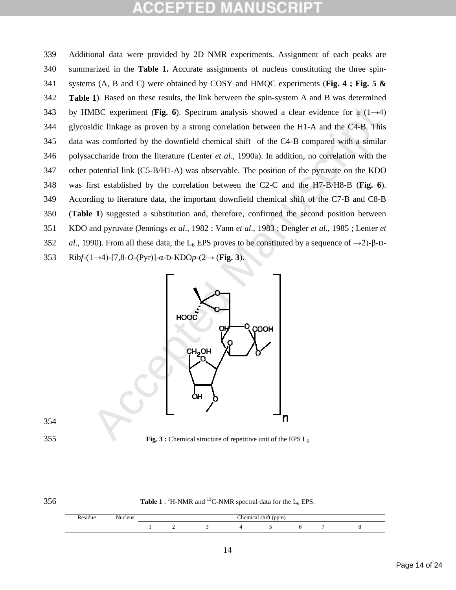MBC experiment (Fig. 6). Spectrum analysis showed a clear evidence for a  $(1-\lambda4)$ <br>idic linkage as proven by a strong correlation between the H1-A and the C4-B. This<br>as comforted by the downfield chemical shift of the C4-B Additional data were provided by 2D NMR experiments. Assignment of each peaks are summarized in the **Table 1.** Accurate assignments of nucleus constituting the three spin- systems (A, B and C) were obtained by COSY and HMQC experiments (**Fig. 4 ; Fig. 5 & Table 1**). Based on these results, the link between the spin-system A and B was determined by HMBC experiment (**Fig. 6**). Spectrum analysis showed a clear evidence for a (1→4) glycosidic linkage as proven by a strong correlation between the H1-A and the C4-B. This data was comforted by the downfield chemical shift of the C4-B compared with a similar polysaccharide from the literature (Lenter *et al*., 1990a). In addition, no correlation with the other potential link (C5-B/H1-A) was observable. The position of the pyruvate on the KDO was first established by the correlation between the C2-C and the H7-B/H8-B (**Fig. 6**). According to literature data, the important downfield chemical shift of the C7-B and C8-B (**Table 1**) suggested a substitution and, therefore, confirmed the second position between KDO and pyruvate (Jennings *et al*., 1982 ; Vann *et al*., 1983 ; Dengler *et al*., 1985 ; Lenter *et al*., 1990). From all these data, the L<sub>6</sub> EPS proves to be constituted by a sequence of  $\rightarrow$ 2)-β-D-Rib*f*-(1→4)-[7,8-*O*-(Pyr)]-α-D-KDO*p*-(2→ (**Fig. 3**).



**Fig. 3 :** Chemical structure of repetitive unit of the EPS L<sub>6</sub>

|                    | ×             |    |
|--------------------|---------------|----|
| ۰,<br>۰.<br>×<br>× | ۰.<br>v<br>v. | ۰, |

**Table 1** :  ${}^{1}$ H-NMR and  ${}^{13}$ C-NMR spectral data for the L<sub>6</sub> EPS.

| -<br>. .<br>'esiduc | $ -$<br>Nucleus | ---<br>'homical<br>$($ ppm $)$<br>o la<br>чиса. |  |  |  |  |  |  |
|---------------------|-----------------|-------------------------------------------------|--|--|--|--|--|--|
|                     |                 |                                                 |  |  |  |  |  |  |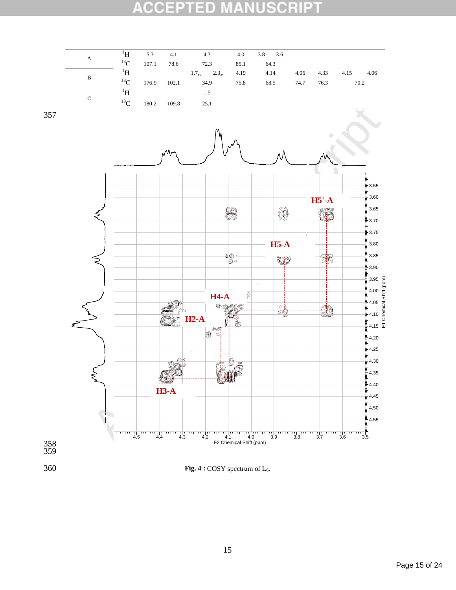### **ACCEPT** ED **NUSCRIPT** ¥

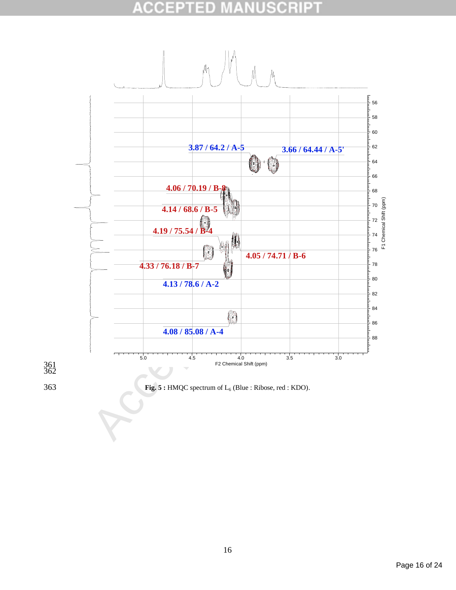### **SCRIPT** ACCE D



363 **Fig. 5 :** HMQC spectrum of L6 (Blue : Ribose, red : KDO).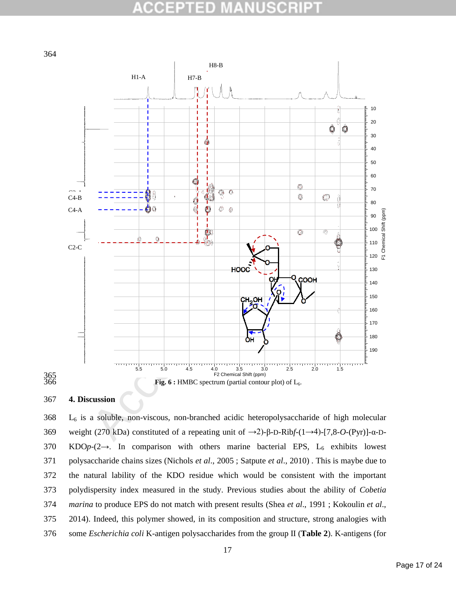### B 01 O



## **4. Discussion**

365<br>366

 L<sub>6</sub> is a soluble, non-viscous, non-branched acidic heteropolysaccharide of high molecular weight (270 kDa) constituted of a repeating unit of →2)-β-D-Rib*f*-(1→4)-[7,8-*O*-(Pyr)]-α-D-370 KDOp-(2→. In comparison with others marine bacterial EPS, L<sub>6</sub> exhibits lowest polysaccharide chains sizes (Nichols *et al*., 2005 ; Satpute *et al*., 2010) . This is maybe due to the natural lability of the KDO residue which would be consistent with the important polydispersity index measured in the study. Previous studies about the ability of *Cobetia marina* to produce EPS do not match with present results (Shea *et al*., 1991 ; Kokoulin *et al*., 2014). Indeed, this polymer showed, in its composition and structure, strong analogies with some *Escherichia coli* K-antigen polysaccharides from the group II (**Table 2**). K-antigens (for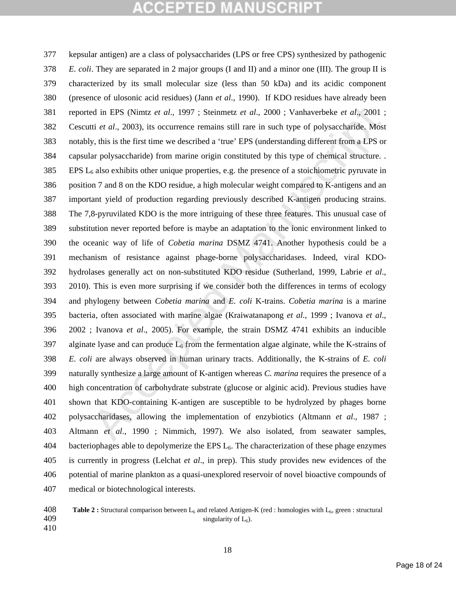ed in EPS (Nimtz et al., 1997; Steinmetz et al., 2000; Vanhaverbeke et al., 2001; it i et al., 2003, its occurrence remains still rare in such type of polysaccharide. Most<br>y, this is the first time we described a 'true' E kepsular antigen) are a class of polysaccharides (LPS or free CPS) synthesized by pathogenic *E. coli*. They are separated in 2 major groups (I and II) and a minor one (III). The group II is characterized by its small molecular size (less than 50 kDa) and its acidic component (presence of ulosonic acid residues) (Jann *et al*., 1990). If KDO residues have already been reported in EPS (Nimtz *et al*., 1997 ; Steinmetz *et al*., 2000 ; Vanhaverbeke *et al*., 2001 ; Cescutti *et al*., 2003), its occurrence remains still rare in such type of polysaccharide. Most notably, this is the first time we described a 'true' EPS (understanding different from a LPS or capsular polysaccharide) from marine origin constituted by this type of chemical structure. . EPS  $L_6$  also exhibits other unique properties, e.g. the presence of a stoichiometric pyruvate in position 7 and 8 on the KDO residue, a high molecular weight compared to K-antigens and an important yield of production regarding previously described K-antigen producing strains. The 7,8-pyruvilated KDO is the more intriguing of these three features. This unusual case of substitution never reported before is maybe an adaptation to the ionic environment linked to the oceanic way of life of *Cobetia marina* DSMZ 4741. Another hypothesis could be a mechanism of resistance against phage-borne polysaccharidases. Indeed, viral KDO- hydrolases generally act on non-substituted KDO residue (Sutherland, 1999, Labrie *et al*., 2010). This is even more surprising if we consider both the differences in terms of ecology and phylogeny between *Cobetia marina* and *E. coli* K-trains. *Cobetia marina* is a marine bacteria, often associated with marine algae (Kraiwatanapong *et al*., 1999 ; Ivanova *et al*., 2002 ; Ivanova *et al*., 2005). For example, the strain DSMZ 4741 exhibits an inducible 397 alginate lyase and can produce  $L_6$  from the fermentation algae alginate, while the K-strains of *E. coli* are always observed in human urinary tracts. Additionally, the K-strains of *E. coli* naturally synthesize a large amount of K-antigen whereas *C. marina* requires the presence of a high concentration of carbohydrate substrate (glucose or alginic acid). Previous studies have shown that KDO-containing K-antigen are susceptible to be hydrolyzed by phages borne polysaccharidases, allowing the implementation of enzybiotics (Altmann *et al*., 1987 ; Altmann *et al*., 1990 ; Nimmich, 1997). We also isolated, from seawater samples, bacteriophages able to depolymerize the EPS  $L<sub>6</sub>$ . The characterization of these phage enzymes is currently in progress (Lelchat *et al*., in prep). This study provides new evidences of the potential of marine plankton as a quasi-unexplored reservoir of novel bioactive compounds of medical or biotechnological interests.

 **Table 2 :** Structural comparison between L6 and related Antigen-K (red : homologies with L6, green : structural 409  $\omega$  singularity of  $L_6$ ).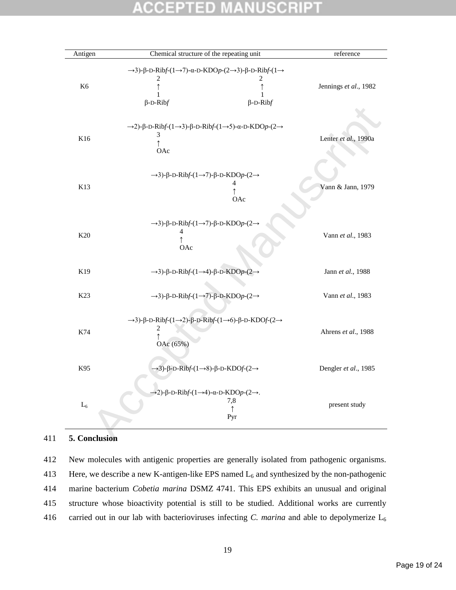### SCR D  $\pm$ ۰

| Antigen        | Chemical structure of the repeating unit                                                                                        | reference                           |
|----------------|---------------------------------------------------------------------------------------------------------------------------------|-------------------------------------|
|                | $\rightarrow$ 3)- $\beta$ -D-Ribf- $(1\rightarrow 7)$ - $\alpha$ -D-KDOp- $(2\rightarrow 3)$ - $\beta$ -D-Ribf- $(1\rightarrow$ |                                     |
|                | $\overline{\mathbf{c}}$                                                                                                         | 2                                   |
| K <sub>6</sub> | $\uparrow$                                                                                                                      | Jennings et al., 1982<br>$\uparrow$ |
|                | 1                                                                                                                               | 1                                   |
|                | $\beta$ -D-Ribf                                                                                                                 | $\beta$ -D-Ribf                     |
|                |                                                                                                                                 |                                     |
|                | $\rightarrow$ 2)- $\beta$ -D-Ribf- $(1\rightarrow 3)$ - $\beta$ -D-Ribf- $(1\rightarrow 5)$ - $\alpha$ -D-KDOp- $(2\rightarrow$ |                                     |
| K16            | 3                                                                                                                               |                                     |
|                | $\uparrow$                                                                                                                      | Lenter et al., 1990a                |
|                | OAc                                                                                                                             |                                     |
|                |                                                                                                                                 |                                     |
|                | $\rightarrow$ 3)- $\beta$ -D-Ribf- $(1\rightarrow 7)$ - $\beta$ -D-KDOp- $(2\rightarrow$                                        |                                     |
| K13            |                                                                                                                                 |                                     |
|                | 4<br>↑                                                                                                                          | Vann & Jann, 1979                   |
|                | OAc                                                                                                                             |                                     |
|                |                                                                                                                                 |                                     |
|                | $\rightarrow$ 3)- $\beta$ -D-Ribf- $(1\rightarrow 7)$ - $\beta$ -D-KDOp- $(2\rightarrow$                                        |                                     |
| K20            | $\overline{\mathcal{A}}$<br>$\uparrow$                                                                                          | Vann et al., 1983                   |
|                | OAc                                                                                                                             |                                     |
|                |                                                                                                                                 |                                     |
| K19            | $\rightarrow$ 3)- $\beta$ -D-Ribf-(1 $\rightarrow$ 4)- $\beta$ -D-KDOp-(2 $\rightarrow$                                         | Jann et al., 1988                   |
|                |                                                                                                                                 |                                     |
| K23            | $\rightarrow$ 3)- $\beta$ -D-Ribf- $(1\rightarrow 7)$ - $\beta$ -D-KDOp- $(2\rightarrow$                                        | Vann et al., 1983                   |
|                |                                                                                                                                 |                                     |
|                | $\rightarrow$ 3)-β-D-Ribf-(1 $\rightarrow$ 2)-β-D-Ribf-(1 $\rightarrow$ 6)-β-D-KDOf-(2 $\rightarrow$                            |                                     |
|                | $\overline{\mathbf{c}}$                                                                                                         |                                     |
| K74            | $\uparrow$                                                                                                                      | Ahrens et al., 1988                 |
|                | OAc (65%)                                                                                                                       |                                     |
|                |                                                                                                                                 |                                     |
| K95            | $\rightarrow$ 3)- $\beta$ -D-Ribf- $(1\rightarrow 8)$ - $\beta$ -D-KDOf- $(2\rightarrow$                                        | Dengler et al., 1985                |
|                |                                                                                                                                 |                                     |
|                | $\rightarrow$ 2)- $\beta$ -D-Ribf-(1 $\rightarrow$ 4)- $\alpha$ -D-KDOp-(2 $\rightarrow$ .                                      |                                     |
|                | 7,8                                                                                                                             |                                     |
| $\mathbf{L}_6$ | $\uparrow$                                                                                                                      | present study                       |
|                | Pyr                                                                                                                             |                                     |

## 411 **5. Conclusion**

 New molecules with antigenic properties are generally isolated from pathogenic organisms. 413 Here, we describe a new K-antigen-like EPS named  $L_6$  and synthesized by the non-pathogenic marine bacterium *Cobetia marina* DSMZ 4741. This EPS exhibits an unusual and original structure whose bioactivity potential is still to be studied. Additional works are currently carried out in our lab with bacterioviruses infecting *C. marina* and able to depolymerize L6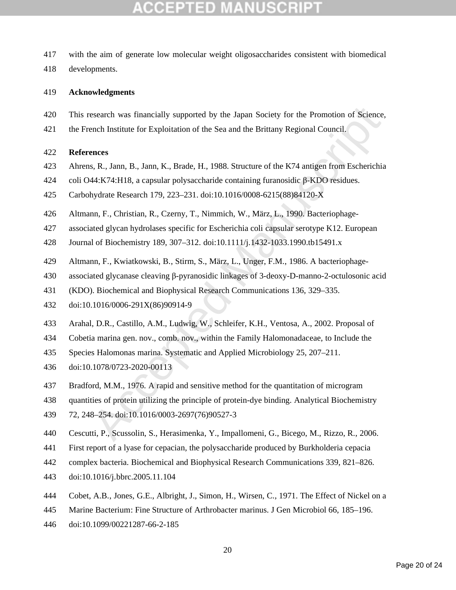- with the aim of generate low molecular weight oligosaccharides consistent with biomedical
- developments.

## **Acknowledgments**

- esearch was financially supported by the Japan Society for the Promotion of Science,<br>ench Institute for Exploitation of the Sea and the Brittany Regional Council.<br>ences<br>s. R., Jann, B., Jann, K., Brade, H., 1988. Structure This research was financially supported by the Japan Society for the Promotion of Science,
- the French Institute for Exploitation of the Sea and the Brittany Regional Council.

## **References**

- Ahrens, R., Jann, B., Jann, K., Brade, H., 1988. Structure of the K74 antigen from Escherichia
- coli O44:K74:H18, a capsular polysaccharide containing furanosidic β-KDO residues.
- Carbohydrate Research 179, 223–231. doi:10.1016/0008-6215(88)84120-X
- Altmann, F., Christian, R., Czerny, T., Nimmich, W., März, L., 1990. Bacteriophage-
- associated glycan hydrolases specific for Escherichia coli capsular serotype K12. European
- Journal of Biochemistry 189, 307–312. doi:10.1111/j.1432-1033.1990.tb15491.x
- Altmann, F., Kwiatkowski, B., Stirm, S., März, L., Unger, F.M., 1986. A bacteriophage-
- associated glycanase cleaving β-pyranosidic linkages of 3-deoxy-D-manno-2-octulosonic acid
- (KDO). Biochemical and Biophysical Research Communications 136, 329–335.
- doi:10.1016/0006-291X(86)90914-9
- Arahal, D.R., Castillo, A.M., Ludwig, W., Schleifer, K.H., Ventosa, A., 2002. Proposal of
- Cobetia marina gen. nov., comb. nov., within the Family Halomonadaceae, to Include the
- Species Halomonas marina. Systematic and Applied Microbiology 25, 207–211.
- doi:10.1078/0723-2020-00113
- Bradford, M.M., 1976. A rapid and sensitive method for the quantitation of microgram
- quantities of protein utilizing the principle of protein-dye binding. Analytical Biochemistry
- 72, 248–254. doi:10.1016/0003-2697(76)90527-3
- Cescutti, P., Scussolin, S., Herasimenka, Y., Impallomeni, G., Bicego, M., Rizzo, R., 2006.
- First report of a lyase for cepacian, the polysaccharide produced by Burkholderia cepacia
- complex bacteria. Biochemical and Biophysical Research Communications 339, 821–826.
- doi:10.1016/j.bbrc.2005.11.104
- Cobet, A.B., Jones, G.E., Albright, J., Simon, H., Wirsen, C., 1971. The Effect of Nickel on a
- Marine Bacterium: Fine Structure of Arthrobacter marinus. J Gen Microbiol 66, 185–196.
- doi:10.1099/00221287-66-2-185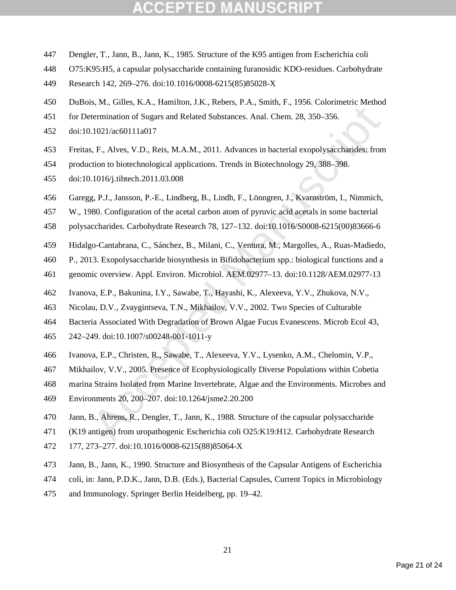- Dengler, T., Jann, B., Jann, K., 1985. Structure of the K95 antigen from Escherichia coli
- O75:K95:H5, a capsular polysaccharide containing furanosidic KDO-residues. Carbohydrate
- Research 142, 269–276. doi:10.1016/0008-6215(85)85028-X
- DuBois, M., Gilles, K.A., Hamilton, J.K., Rebers, P.A., Smith, F., 1956. Colorimetric Method
- for Determination of Sugars and Related Substances. Anal. Chem. 28, 350–356.
- doi:10.1021/ac60111a017
- Freitas, F., Alves, V.D., Reis, M.A.M., 2011. Advances in bacterial exopolysaccharides: from
- production to biotechnological applications. Trends in Biotechnology 29, 388–398.
- doi:10.1016/j.tibtech.2011.03.008
- Garegg, P.J., Jansson, P.-E., Lindberg, B., Lindh, F., Lönngren, J., Kvarnström, I., Nimmich,
- W., 1980. Configuration of the acetal carbon atom of pyruvic acid acetals in some bacterial
- polysaccharides. Carbohydrate Research 78, 127–132. doi:10.1016/S0008-6215(00)83666-6
- Hidalgo-Cantabrana, C., Sánchez, B., Milani, C., Ventura, M., Margolles, A., Ruas-Madiedo,
- P., 2013. Exopolysaccharide biosynthesis in Bifidobacterium spp.: biological functions and a
- genomic overview. Appl. Environ. Microbiol. AEM.02977–13. doi:10.1128/AEM.02977-13
- Ivanova, E.P., Bakunina, I.Y., Sawabe, T., Hayashi, K., Alexeeva, Y.V., Zhukova, N.V.,
- Nicolau, D.V., Zvaygintseva, T.N., Mikhailov, V.V., 2002. Two Species of Culturable
- Bacteria Associated With Degradation of Brown Algae Fucus Evanescens. Microb Ecol 43,
- 242–249. doi:10.1007/s00248-001-1011-y
- Ivanova, E.P., Christen, R., Sawabe, T., Alexeeva, Y.V., Lysenko, A.M., Chelomin, V.P.,
- Mikhailov, V.V., 2005. Presence of Ecophysiologically Diverse Populations within Cobetia
- etermination of Sugars and Related Substances. Anal. Chem. 28, 350–356.<br>
1.021/acc60111a017<br>
5. F., Alves, V.D., Reis, M.A.M., 2011. Advances in bacterial exopolysaccharides: from<br>
1.021/acc60111a017<br>
5. F., Alves, V.D., R marina Strains Isolated from Marine Invertebrate, Algae and the Environments. Microbes and
- Environments 20, 200–207. doi:10.1264/jsme2.20.200
- Jann, B., Ahrens, R., Dengler, T., Jann, K., 1988. Structure of the capsular polysaccharide
- (K19 antigen) from uropathogenic Escherichia coli O25:K19:H12. Carbohydrate Research
- 177, 273–277. doi:10.1016/0008-6215(88)85064-X
- Jann, B., Jann, K., 1990. Structure and Biosynthesis of the Capsular Antigens of Escherichia
- coli, in: Jann, P.D.K., Jann, D.B. (Eds.), Bacterial Capsules, Current Topics in Microbiology
- and Immunology. Springer Berlin Heidelberg, pp. 19–42.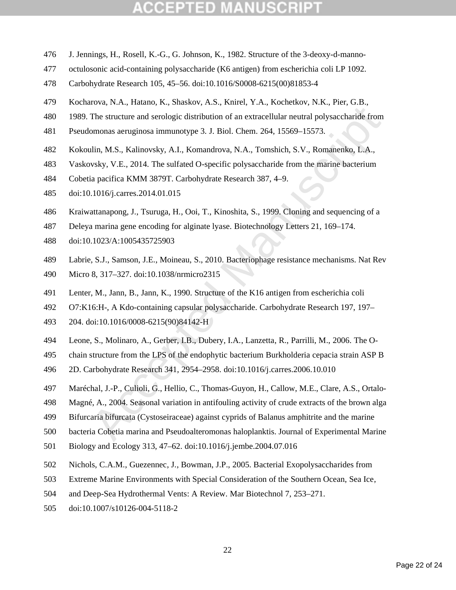- J. Jennings, H., Rosell, K.-G., G. Johnson, K., 1982. Structure of the 3-deoxy-d-manno-
- octulosonic acid-containing polysaccharide (K6 antigen) from escherichia coli LP 1092.
- Carbohydrate Research 105, 45–56. doi:10.1016/S0008-6215(00)81853-4
- Kocharova, N.A., Hatano, K., Shaskov, A.S., Knirel, Y.A., Kochetkov, N.K., Pier, G.B.,
- 1989. The structure and serologic distribution of an extracellular neutral polysaccharide from
- Pseudomonas aeruginosa immunotype 3. J. Biol. Chem. 264, 15569–15573.
- Kokoulin, M.S., Kalinovsky, A.I., Komandrova, N.A., Tomshich, S.V., Romanenko, L.A.,
- Vaskovsky, V.E., 2014. The sulfated O-specific polysaccharide from the marine bacterium
- Cobetia pacifica KMM 3879T. Carbohydrate Research 387, 4–9.
- doi:10.1016/j.carres.2014.01.015
- Kraiwattanapong, J., Tsuruga, H., Ooi, T., Kinoshita, S., 1999. Cloning and sequencing of a
- Deleya marina gene encoding for alginate lyase. Biotechnology Letters 21, 169–174.
- doi:10.1023/A:1005435725903
- Labrie, S.J., Samson, J.E., Moineau, S., 2010. Bacteriophage resistance mechanisms. Nat Rev
- Micro 8, 317–327. doi:10.1038/nrmicro2315
- Lenter, M., Jann, B., Jann, K., 1990. Structure of the K16 antigen from escherichia coli
- O7:K16:H-, A Kdo-containing capsular polysaccharide. Carbohydrate Research 197, 197–
- 204. doi:10.1016/0008-6215(90)84142-H
- Leone, S., Molinaro, A., Gerber, I.B., Dubery, I.A., Lanzetta, R., Parrilli, M., 2006. The O-
- chain structure from the LPS of the endophytic bacterium Burkholderia cepacia strain ASP B
- 2D. Carbohydrate Research 341, 2954–2958. doi:10.1016/j.carres.2006.10.010
- The structure and serologic distribution of an extracellular neutral polysaccharide from<br>monas acruginosa immunotypc 3. J. Biol. Chem. 264, 15569–15573.<br>
ulin, M.S., Kalinovsky, A.I., Komandrova, N.A., Tomshich, S.V., Roma Maréchal, J.-P., Culioli, G., Hellio, C., Thomas-Guyon, H., Callow, M.E., Clare, A.S., Ortalo-
- Magné, A., 2004. Seasonal variation in antifouling activity of crude extracts of the brown alga
- Bifurcaria bifurcata (Cystoseiraceae) against cyprids of Balanus amphitrite and the marine
- bacteria Cobetia marina and Pseudoalteromonas haloplanktis. Journal of Experimental Marine
- Biology and Ecology 313, 47–62. doi:10.1016/j.jembe.2004.07.016
- Nichols, C.A.M., Guezennec, J., Bowman, J.P., 2005. Bacterial Exopolysaccharides from
- Extreme Marine Environments with Special Consideration of the Southern Ocean, Sea Ice,
- and Deep-Sea Hydrothermal Vents: A Review. Mar Biotechnol 7, 253–271.
- doi:10.1007/s10126-004-5118-2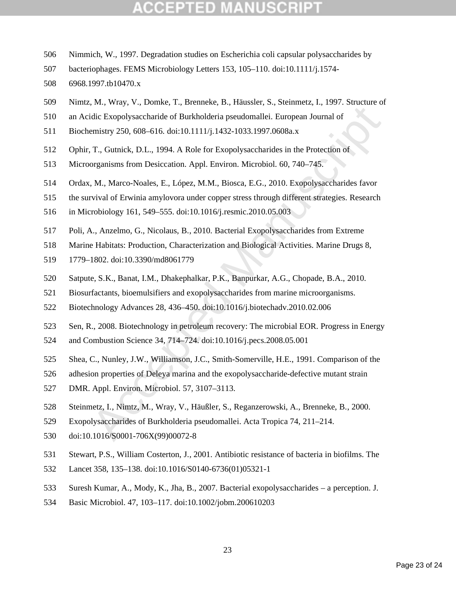- Nimmich, W., 1997. Degradation studies on Escherichia coli capsular polysaccharides by
- bacteriophages. FEMS Microbiology Letters 153, 105–110. doi:10.1111/j.1574-
- 6968.1997.tb10470.x
- Nimtz, M., Wray, V., Domke, T., Brenneke, B., Häussler, S., Steinmetz, I., 1997. Structure of
- an Acidic Exopolysaccharide of Burkholderia pseudomallei. European Journal of
- Biochemistry 250, 608–616. doi:10.1111/j.1432-1033.1997.0608a.x
- Ophir, T., Gutnick, D.L., 1994. A Role for Exopolysaccharides in the Protection of
- Microorganisms from Desiccation. Appl. Environ. Microbiol. 60, 740–745.
- Fulch Exopolysaccharide of Burkholderia pseudomallei. European Journal of<br>
Fulch Exopolysaccharide of Burkholderia pseudomallei. European Journal of<br>
emistry 250, 608–616. doi:10.11111/j.1432-1033.1997.0608a.x<br>
T., Gutnick Ordax, M., Marco-Noales, E., López, M.M., Biosca, E.G., 2010. Exopolysaccharides favor
- the survival of Erwinia amylovora under copper stress through different strategies. Research
- in Microbiology 161, 549–555. doi:10.1016/j.resmic.2010.05.003
- Poli, A., Anzelmo, G., Nicolaus, B., 2010. Bacterial Exopolysaccharides from Extreme
- Marine Habitats: Production, Characterization and Biological Activities. Marine Drugs 8,
- 1779–1802. doi:10.3390/md8061779
- Satpute, S.K., Banat, I.M., Dhakephalkar, P.K., Banpurkar, A.G., Chopade, B.A., 2010.
- Biosurfactants, bioemulsifiers and exopolysaccharides from marine microorganisms.
- Biotechnology Advances 28, 436–450. doi:10.1016/j.biotechadv.2010.02.006
- Sen, R., 2008. Biotechnology in petroleum recovery: The microbial EOR. Progress in Energy
- and Combustion Science 34, 714–724. doi:10.1016/j.pecs.2008.05.001
- Shea, C., Nunley, J.W., Williamson, J.C., Smith-Somerville, H.E., 1991. Comparison of the
- adhesion properties of Deleya marina and the exopolysaccharide-defective mutant strain
- DMR. Appl. Environ. Microbiol. 57, 3107–3113.
- Steinmetz, I., Nimtz, M., Wray, V., Häußler, S., Reganzerowski, A., Brenneke, B., 2000.
- Exopolysaccharides of Burkholderia pseudomallei. Acta Tropica 74, 211–214.
- doi:10.1016/S0001-706X(99)00072-8
- Stewart, P.S., William Costerton, J., 2001. Antibiotic resistance of bacteria in biofilms. The
- Lancet 358, 135–138. doi:10.1016/S0140-6736(01)05321-1
- Suresh Kumar, A., Mody, K., Jha, B., 2007. Bacterial exopolysaccharides a perception. J.
- Basic Microbiol. 47, 103–117. doi:10.1002/jobm.200610203